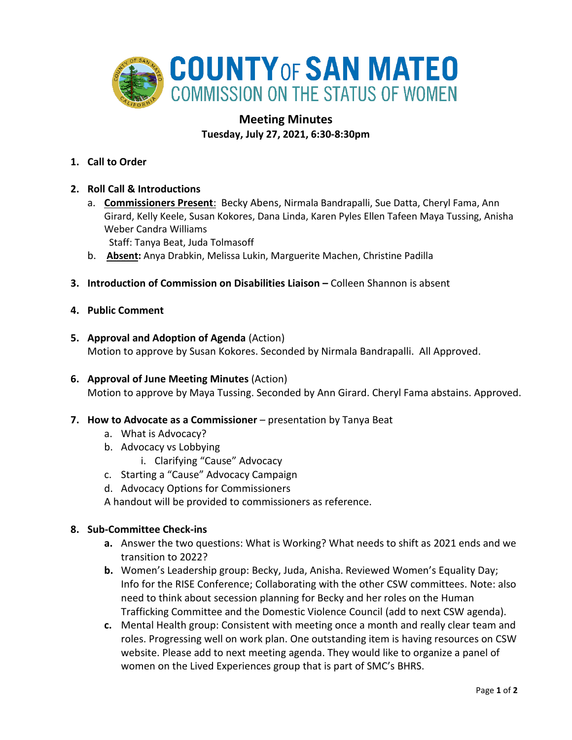

# **Meeting Minutes**

**Tuesday, July 27, 2021, 6:30-8:30pm**

- **1. Call to Order**
- **2. Roll Call & Introductions** 
	- a. **Commissioners Present**: Becky Abens, Nirmala Bandrapalli, Sue Datta, Cheryl Fama, Ann Girard, Kelly Keele, Susan Kokores, Dana Linda, Karen Pyles Ellen Tafeen Maya Tussing, Anisha Weber Candra Williams

Staff: Tanya Beat, Juda Tolmasoff

- b. **Absent:** Anya Drabkin, Melissa Lukin, Marguerite Machen, Christine Padilla
- **3. Introduction of Commission on Disabilities Liaison –** Colleen Shannon is absent
- **4. Public Comment**
- **5. Approval and Adoption of Agenda** (Action) Motion to approve by Susan Kokores. Seconded by Nirmala Bandrapalli. All Approved.
- **6. Approval of June Meeting Minutes** (Action) Motion to approve by Maya Tussing. Seconded by Ann Girard. Cheryl Fama abstains. Approved.
- **7. How to Advocate as a Commissioner** presentation by Tanya Beat
	- a. What is Advocacy?
	- b. Advocacy vs Lobbying
		- i. Clarifying "Cause" Advocacy
	- c. Starting a "Cause" Advocacy Campaign
	- d. Advocacy Options for Commissioners

A handout will be provided to commissioners as reference.

## **8. Sub-Committee Check-ins**

- **a.** Answer the two questions: What is Working? What needs to shift as 2021 ends and we transition to 2022?
- **b.** Women's Leadership group: Becky, Juda, Anisha. Reviewed Women's Equality Day; Info for the RISE Conference; Collaborating with the other CSW committees. Note: also need to think about secession planning for Becky and her roles on the Human Trafficking Committee and the Domestic Violence Council (add to next CSW agenda).
- **c.** Mental Health group: Consistent with meeting once a month and really clear team and roles. Progressing well on work plan. One outstanding item is having resources on CSW website. Please add to next meeting agenda. They would like to organize a panel of women on the Lived Experiences group that is part of SMC's BHRS.